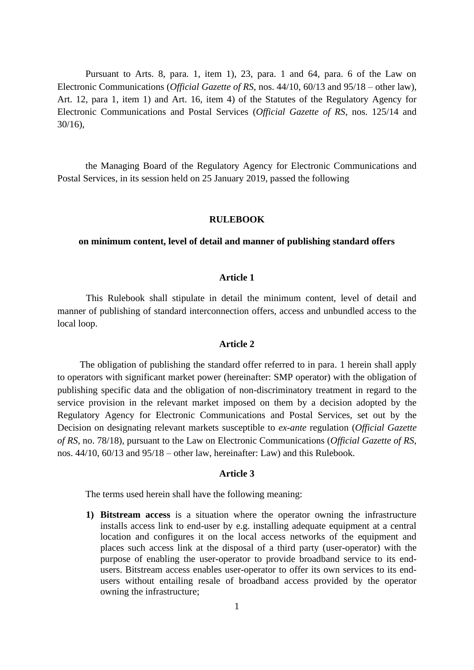Pursuant to Arts. 8, para. 1, item 1), 23, para. 1 and 64, para. 6 of the Law on Electronic Communications (*Official Gazette of RS*, nos. 44/10, 60/13 and 95/18 – other law), Art. 12, para 1, item 1) and Art. 16, item 4) of the Statutes of the Regulatory Agency for Electronic Communications and Postal Services (*Official Gazette of RS*, nos. 125/14 and 30/16),

the Managing Board of the Regulatory Agency for Electronic Communications and Postal Services, in its session held on 25 January 2019, passed the following

#### **RULEBOOK**

### **on minimum content, level of detail and manner of publishing standard offers**

### **Article 1**

This Rulebook shall stipulate in detail the minimum content, level of detail and manner of publishing of standard interconnection offers, access and unbundled access to the local loop.

#### **Article 2**

The obligation of publishing the standard offer referred to in para. 1 herein shall apply to operators with significant market power (hereinafter: SMP operator) with the obligation of publishing specific data and the obligation of non-discriminatory treatment in regard to the service provision in the relevant market imposed on them by a decision adopted by the Regulatory Agency for Electronic Communications and Postal Services, set out by the Decision on designating relevant markets susceptible to *ex-ante* regulation (*Official Gazette of RS*, no. 78/18), pursuant to the Law on Electronic Communications (*Official Gazette of RS*, nos. 44/10, 60/13 and 95/18 – other law, hereinafter: Law) and this Rulebook.

#### **Article 3**

The terms used herein shall have the following meaning:

**1) Bitstream access** is a situation where the operator owning the infrastructure installs access link to end-user by e.g. installing adequate equipment at a central location and configures it on the local access networks of the equipment and places such access link at the disposal of a third party (user-operator) with the purpose of enabling the user-operator to provide broadband service to its endusers. Bitstream access enables user-operator to offer its own services to its endusers without entailing resale of broadband access provided by the operator owning the infrastructure;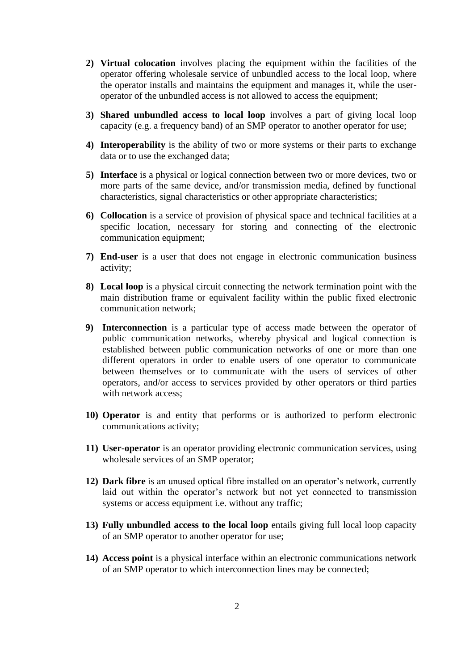- **2) Virtual colocation** involves placing the equipment within the facilities of the operator offering wholesale service of unbundled access to the local loop, where the operator installs and maintains the equipment and manages it, while the useroperator of the unbundled access is not allowed to access the equipment;
- **3) Shared unbundled access to local loop** involves a part of giving local loop capacity (e.g. a frequency band) of an SMP operator to another operator for use;
- **4) Interoperability** is the ability of two or more systems or their parts to exchange data or to use the exchanged data;
- **5) Interface** is a physical or logical connection between two or more devices, two or more parts of the same device, and/or transmission media, defined by functional characteristics, signal characteristics or other appropriate characteristics;
- **6) Collocation** is a service of provision of physical space and technical facilities at a specific location, necessary for storing and connecting of the electronic communication equipment;
- **7) End-user** is a user that does not engage in electronic communication business activity;
- **8) Local loop** is a physical circuit connecting the network termination point with the main distribution frame or equivalent facility within the public fixed electronic communication network;
- **9) Interconnection** is a particular type of access made between the operator of public communication networks, whereby physical and logical connection is established between public communication networks of one or more than one different operators in order to enable users of one operator to communicate between themselves or to communicate with the users of services of other operators, and/or access to services provided by other operators or third parties with network access;
- **10) Operator** is and entity that performs or is authorized to perform electronic communications activity;
- **11) User-operator** is an operator providing electronic communication services, using wholesale services of an SMP operator;
- **12) Dark fibre** is an unused optical fibre installed on an operator's network, currently laid out within the operator's network but not yet connected to transmission systems or access equipment i.e. without any traffic;
- **13) Fully unbundled access to the local loop** entails giving full local loop capacity of an SMP operator to another operator for use;
- **14) Access point** is a physical interface within an electronic communications network of an SMP operator to which interconnection lines may be connected;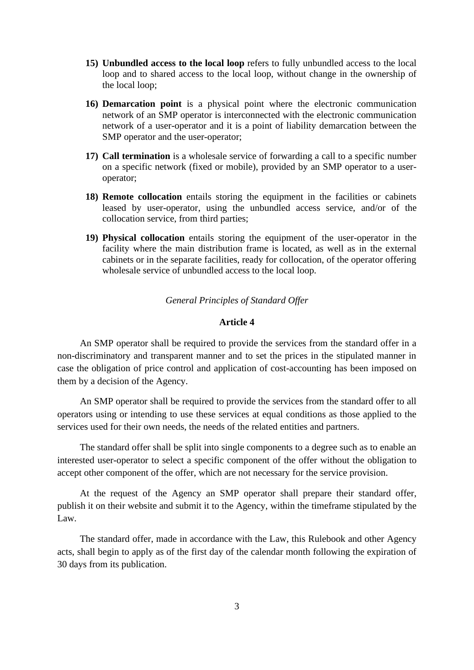- **15) Unbundled access to the local loop** refers to fully unbundled access to the local loop and to shared access to the local loop, without change in the ownership of the local loop;
- **16) Demarcation point** is a physical point where the electronic communication network of an SMP operator is interconnected with the electronic communication network of a user-operator and it is a point of liability demarcation between the SMP operator and the user-operator;
- **17) Call termination** is a wholesale service of forwarding a call to a specific number on a specific network (fixed or mobile), provided by an SMP operator to a useroperator;
- **18) Remote collocation** entails storing the equipment in the facilities or cabinets leased by user-operator, using the unbundled access service, and/or of the collocation service, from third parties;
- **19) Physical collocation** entails storing the equipment of the user-operator in the facility where the main distribution frame is located, as well as in the external cabinets or in the separate facilities, ready for collocation, of the operator offering wholesale service of unbundled access to the local loop.

## *General Principles of Standard Offer*

## **Article 4**

An SMP operator shall be required to provide the services from the standard offer in a non-discriminatory and transparent manner and to set the prices in the stipulated manner in case the obligation of price control and application of cost-accounting has been imposed on them by a decision of the Agency.

An SMP operator shall be required to provide the services from the standard offer to all operators using or intending to use these services at equal conditions as those applied to the services used for their own needs, the needs of the related entities and partners.

The standard offer shall be split into single components to a degree such as to enable an interested user-operator to select a specific component of the offer without the obligation to accept other component of the offer, which are not necessary for the service provision.

At the request of the Agency an SMP operator shall prepare their standard offer, publish it on their website and submit it to the Agency, within the timeframe stipulated by the Law.

The standard offer, made in accordance with the Law, this Rulebook and other Agency acts, shall begin to apply as of the first day of the calendar month following the expiration of 30 days from its publication.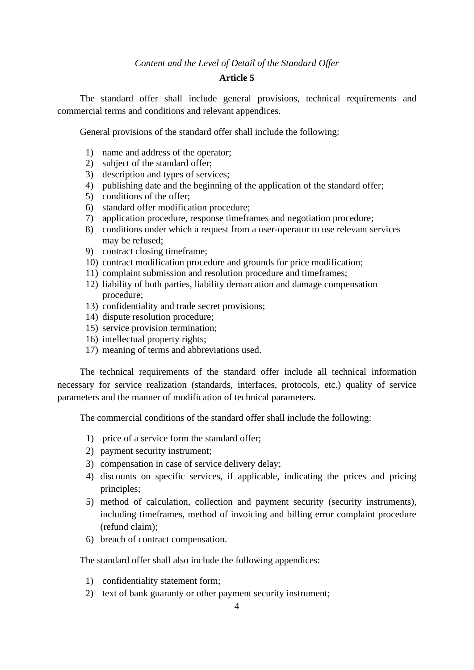### *Content and the Level of Detail of the Standard Offer*

## **Article 5**

The standard offer shall include general provisions, technical requirements and commercial terms and conditions and relevant appendices.

General provisions of the standard offer shall include the following:

- 1) name and address of the operator;
- 2) subject of the standard offer;
- 3) description and types of services;
- 4) publishing date and the beginning of the application of the standard offer;
- 5) conditions of the offer;
- 6) standard offer modification procedure;
- 7) application procedure, response timeframes and negotiation procedure;
- 8) conditions under which a request from a user-operator to use relevant services may be refused;
- 9) contract closing timeframe;
- 10) contract modification procedure and grounds for price modification;
- 11) complaint submission and resolution procedure and timeframes;
- 12) liability of both parties, liability demarcation and damage compensation procedure;
- 13) confidentiality and trade secret provisions;
- 14) dispute resolution procedure;
- 15) service provision termination;
- 16) intellectual property rights;
- 17) meaning of terms and abbreviations used.

The technical requirements of the standard offer include all technical information necessary for service realization (standards, interfaces, protocols, etc.) quality of service parameters and the manner of modification of technical parameters.

The commercial conditions of the standard offer shall include the following:

- 1) price of a service form the standard offer;
- 2) payment security instrument;
- 3) compensation in case of service delivery delay;
- 4) discounts on specific services, if applicable, indicating the prices and pricing principles;
- 5) method of calculation, collection and payment security (security instruments), including timeframes, method of invoicing and billing error complaint procedure (refund claim);
- 6) breach of contract compensation.

The standard offer shall also include the following appendices:

- 1) confidentiality statement form;
- 2) text of bank guaranty or other payment security instrument;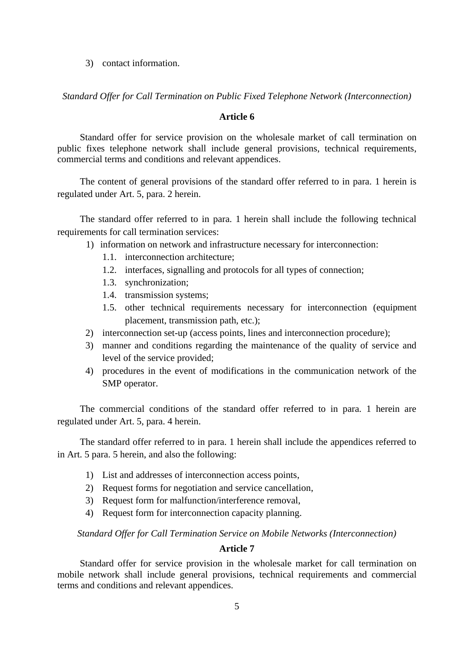3) contact information.

*Standard Offer for Call Termination on Public Fixed Telephone Network (Interconnection)* 

### **Article 6**

Standard offer for service provision on the wholesale market of call termination on public fixes telephone network shall include general provisions, technical requirements, commercial terms and conditions and relevant appendices.

The content of general provisions of the standard offer referred to in para. 1 herein is regulated under Art. 5, para. 2 herein.

The standard offer referred to in para. 1 herein shall include the following technical requirements for call termination services:

- 1) information on network and infrastructure necessary for interconnection:
	- 1.1. interconnection architecture;
	- 1.2. interfaces, signalling and protocols for all types of connection;
	- 1.3. synchronization;
	- 1.4. transmission systems;
	- 1.5. other technical requirements necessary for interconnection (equipment placement, transmission path, etc.);
- 2) interconnection set-up (access points, lines and interconnection procedure);
- 3) manner and conditions regarding the maintenance of the quality of service and level of the service provided;
- 4) procedures in the event of modifications in the communication network of the SMP operator.

The commercial conditions of the standard offer referred to in para. 1 herein are regulated under Art. 5, para. 4 herein.

The standard offer referred to in para. 1 herein shall include the appendices referred to in Art. 5 para. 5 herein, and also the following:

- 1) List and addresses of interconnection access points,
- 2) Request forms for negotiation and service cancellation,
- 3) Request form for malfunction/interference removal,
- 4) Request form for interconnection capacity planning.

*Standard Offer for Call Termination Service on Mobile Networks (Interconnection)* 

### **Article 7**

Standard offer for service provision in the wholesale market for call termination on mobile network shall include general provisions, technical requirements and commercial terms and conditions and relevant appendices.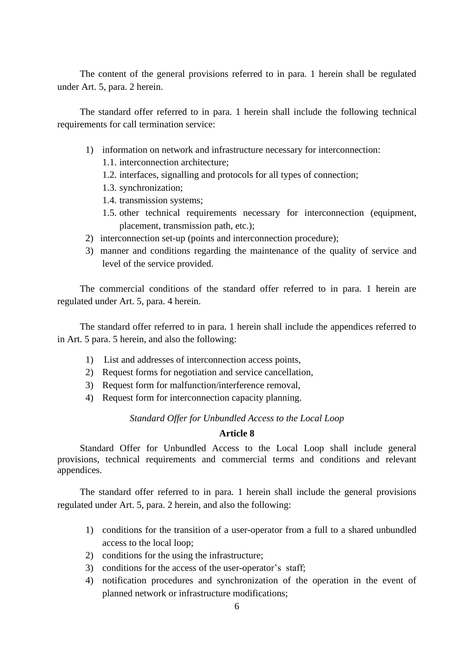The content of the general provisions referred to in para. 1 herein shall be regulated under Art. 5, para. 2 herein.

The standard offer referred to in para. 1 herein shall include the following technical requirements for call termination service:

- 1) information on network and infrastructure necessary for interconnection:
	- 1.1. interconnection architecture;
	- 1.2. interfaces, signalling and protocols for all types of connection;
	- 1.3. synchronization;
	- 1.4. transmission systems;
	- 1.5. other technical requirements necessary for interconnection (equipment, placement, transmission path, etc.);
- 2) interconnection set-up (points and interconnection procedure);
- 3) manner and conditions regarding the maintenance of the quality of service and level of the service provided.

The commercial conditions of the standard offer referred to in para. 1 herein are regulated under Art. 5, para. 4 herein.

The standard offer referred to in para. 1 herein shall include the appendices referred to in Art. 5 para. 5 herein, and also the following:

- 1) List and addresses of interconnection access points,
- 2) Request forms for negotiation and service cancellation,
- 3) Request form for malfunction/interference removal,
- 4) Request form for interconnection capacity planning.

## *Standard Offer for Unbundled Access to the Local Loop*

### **Article 8**

Standard Offer for Unbundled Access to the Local Loop shall include general provisions, technical requirements and commercial terms and conditions and relevant appendices.

The standard offer referred to in para. 1 herein shall include the general provisions regulated under Art. 5, para. 2 herein, and also the following:

- 1) conditions for the transition of a user-operator from a full to a shared unbundled access to the local loop;
- 2) conditions for the using the infrastructure;
- 3) conditions for the access of the user-operator's staff;
- 4) notification procedures and synchronization of the operation in the event of planned network or infrastructure modifications;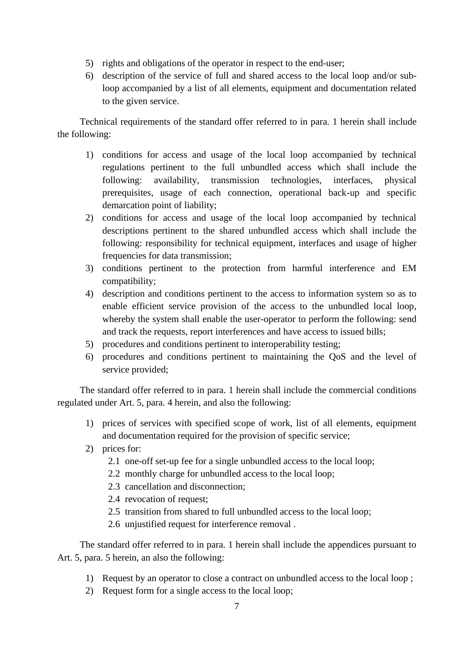- 5) rights and obligations of the operator in respect to the end-user;
- 6) description of the service of full and shared access to the local loop and/or subloop accompanied by a list of all elements, equipment and documentation related to the given service.

Technical requirements of the standard offer referred to in para. 1 herein shall include the following:

- 1) conditions for access and usage of the local loop accompanied by technical regulations pertinent to the full unbundled access which shall include the following: availability, transmission technologies, interfaces, physical prerequisites, usage of each connection, operational back-up and specific demarcation point of liability;
- 2) conditions for access and usage of the local loop accompanied by technical descriptions pertinent to the shared unbundled access which shall include the following: responsibility for technical equipment, interfaces and usage of higher frequencies for data transmission;
- 3) conditions pertinent to the protection from harmful interference and EM compatibility;
- 4) description and conditions pertinent to the access to information system so as to enable efficient service provision of the access to the unbundled local loop, whereby the system shall enable the user-operator to perform the following: send and track the requests, report interferences and have access to issued bills;
- 5) procedures and conditions pertinent to interoperability testing;
- 6) procedures and conditions pertinent to maintaining the QoS and the level of service provided;

The standard offer referred to in para. 1 herein shall include the commercial conditions regulated under Art. 5, para. 4 herein, and also the following:

- 1) prices of services with specified scope of work, list of all elements, equipment and documentation required for the provision of specific service;
- 2) prices for:
	- 2.1 one-off set-up fee for a single unbundled access to the local loop;
	- 2.2 monthly charge for unbundled access to the local loop;
	- 2.3 cancellation and disconnection;
	- 2.4 revocation of request;
	- 2.5 transition from shared to full unbundled access to the local loop;
	- 2.6 unjustified request for interference removal .

The standard offer referred to in para. 1 herein shall include the appendices pursuant to Art. 5, para. 5 herein, an also the following:

- 1) Request by an operator to close a contract on unbundled access to the local loop ;
- 2) Request form for a single access to the local loop;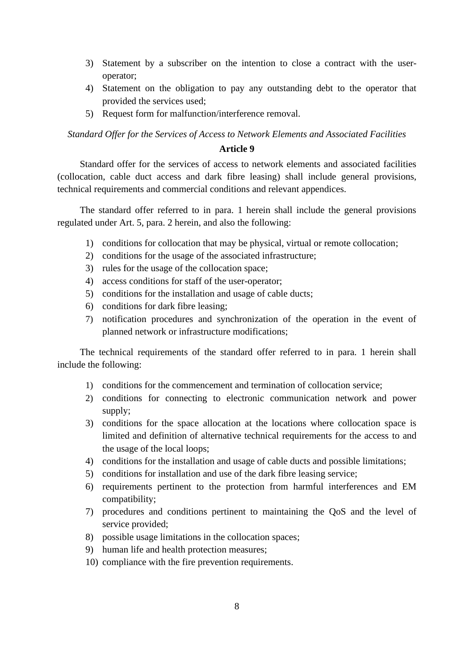- 3) Statement by a subscriber on the intention to close a contract with the useroperator;
- 4) Statement on the obligation to pay any outstanding debt to the operator that provided the services used;
- 5) Request form for malfunction/interference removal.

*Standard Offer for the Services of Access to Network Elements and Associated Facilities* 

### **Article 9**

Standard offer for the services of access to network elements and associated facilities (collocation, cable duct access and dark fibre leasing) shall include general provisions, technical requirements and commercial conditions and relevant appendices.

The standard offer referred to in para. 1 herein shall include the general provisions regulated under Art. 5, para. 2 herein, and also the following:

- 1) conditions for collocation that may be physical, virtual or remote collocation;
- 2) conditions for the usage of the associated infrastructure;
- 3) rules for the usage of the collocation space;
- 4) access conditions for staff of the user-operator;
- 5) conditions for the installation and usage of cable ducts;
- 6) conditions for dark fibre leasing;
- 7) notification procedures and synchronization of the operation in the event of planned network or infrastructure modifications;

The technical requirements of the standard offer referred to in para. 1 herein shall include the following:

- 1) conditions for the commencement and termination of collocation service;
- 2) conditions for connecting to electronic communication network and power supply;
- 3) conditions for the space allocation at the locations where collocation space is limited and definition of alternative technical requirements for the access to and the usage of the local loops;
- 4) conditions for the installation and usage of cable ducts and possible limitations;
- 5) conditions for installation and use of the dark fibre leasing service;
- 6) requirements pertinent to the protection from harmful interferences and EM compatibility;
- 7) procedures and conditions pertinent to maintaining the QoS and the level of service provided;
- 8) possible usage limitations in the collocation spaces;
- 9) human life and health protection measures;
- 10) compliance with the fire prevention requirements.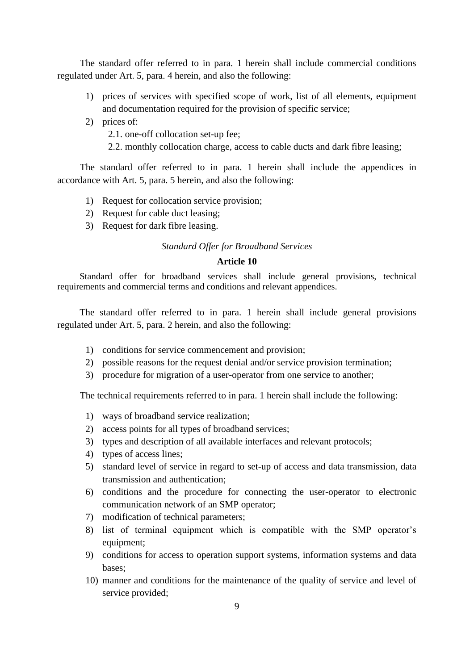The standard offer referred to in para. 1 herein shall include commercial conditions regulated under Art. 5, para. 4 herein, and also the following:

- 1) prices of services with specified scope of work, list of all elements, equipment and documentation required for the provision of specific service;
- 2) prices of:
	- 2.1. one-off collocation set-up fee;
	- 2.2. monthly collocation charge, access to cable ducts and dark fibre leasing;

The standard offer referred to in para. 1 herein shall include the appendices in accordance with Art. 5, para. 5 herein, and also the following:

- 1) Request for collocation service provision;
- 2) Request for cable duct leasing;
- 3) Request for dark fibre leasing.

### *Standard Offer for Broadband Services*

### **Article 10**

Standard offer for broadband services shall include general provisions, technical requirements and commercial terms and conditions and relevant appendices.

The standard offer referred to in para. 1 herein shall include general provisions regulated under Art. 5, para. 2 herein, and also the following:

- 1) conditions for service commencement and provision;
- 2) possible reasons for the request denial and/or service provision termination;
- 3) procedure for migration of a user-operator from one service to another;

The technical requirements referred to in para. 1 herein shall include the following:

- 1) ways of broadband service realization;
- 2) access points for all types of broadband services;
- 3) types and description of all available interfaces and relevant protocols;
- 4) types of access lines;
- 5) standard level of service in regard to set-up of access and data transmission, data transmission and authentication;
- 6) conditions and the procedure for connecting the user-operator to electronic communication network of an SMP operator;
- 7) modification of technical parameters;
- 8) list of terminal equipment which is compatible with the SMP operator's equipment;
- 9) conditions for access to operation support systems, information systems and data bases;
- 10) manner and conditions for the maintenance of the quality of service and level of service provided;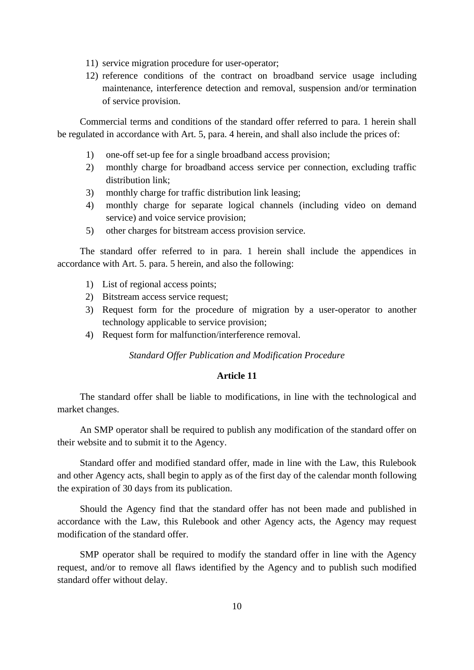- 11) service migration procedure for user-operator;
- 12) reference conditions of the contract on broadband service usage including maintenance, interference detection and removal, suspension and/or termination of service provision.

Commercial terms and conditions of the standard offer referred to para. 1 herein shall be regulated in accordance with Art. 5, para. 4 herein, and shall also include the prices of:

- 1) one-off set-up fee for a single broadband access provision;
- 2) monthly charge for broadband access service per connection, excluding traffic distribution link;
- 3) monthly charge for traffic distribution link leasing;
- 4) monthly charge for separate logical channels (including video on demand service) and voice service provision;
- 5) other charges for bitstream access provision service.

The standard offer referred to in para. 1 herein shall include the appendices in accordance with Art. 5. para. 5 herein, and also the following:

- 1) List of regional access points;
- 2) Bitstream access service request;
- 3) Request form for the procedure of migration by a user-operator to another technology applicable to service provision;
- 4) Request form for malfunction/interference removal.

### *Standard Offer Publication and Modification Procedure*

### **Article 11**

The standard offer shall be liable to modifications, in line with the technological and market changes.

An SMP operator shall be required to publish any modification of the standard offer on their website and to submit it to the Agency.

Standard offer and modified standard offer, made in line with the Law, this Rulebook and other Agency acts, shall begin to apply as of the first day of the calendar month following the expiration of 30 days from its publication.

Should the Agency find that the standard offer has not been made and published in accordance with the Law, this Rulebook and other Agency acts, the Agency may request modification of the standard offer.

SMP operator shall be required to modify the standard offer in line with the Agency request, and/or to remove all flaws identified by the Agency and to publish such modified standard offer without delay.